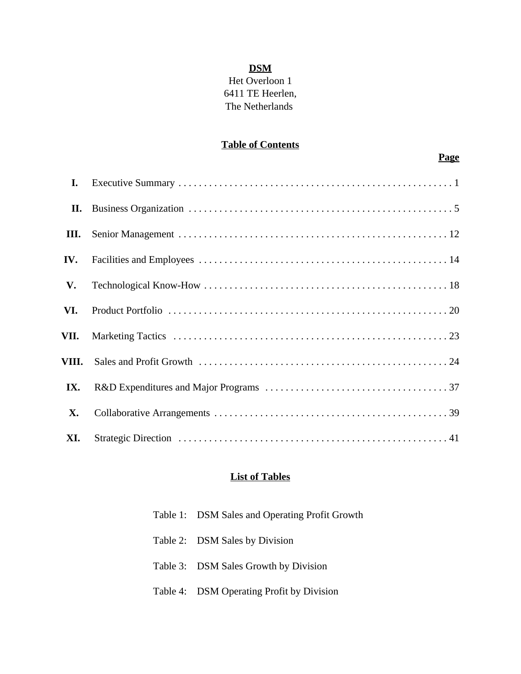### **DSM**

# Het Overloon 1 6411 TE Heerlen, The Netherlands

### **Table of Contents**

# **Page**

| I.        |  |
|-----------|--|
| П.        |  |
| Ш.        |  |
| IV.       |  |
| V.        |  |
| VI.       |  |
| VII.      |  |
|           |  |
| IX.       |  |
| <b>X.</b> |  |
| XI.       |  |

#### **List of Tables**

| Table 1: DSM Sales and Operating Profit Growth |
|------------------------------------------------|
| Table 2: DSM Sales by Division                 |
| Table 3: DSM Sales Growth by Division          |
| Table 4: DSM Operating Profit by Division      |